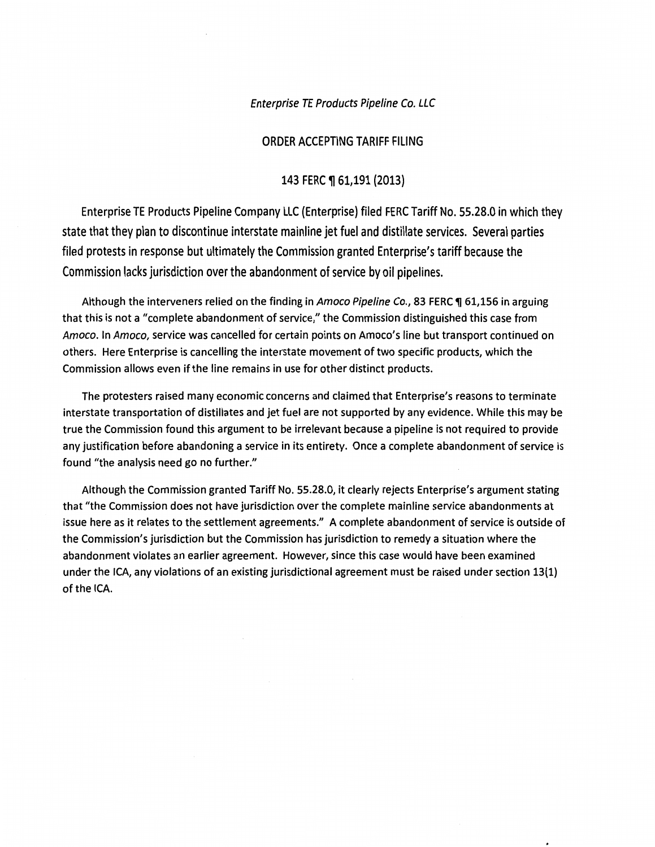Enterprise TE Products Pipeline Co. LLC

#### ORDER ACCEPTING TARIFF FILING

#### 143 FERC ¶ 61,191 (2013)

Enterprise TE Products Pipeline Company LLC (Enterprise) filed FERC Tariff No. 55.28.0 in which they state that they plan to discontinue interstate mainline jet fuel and distillate services. Several parties filed protests in response but ultimately the Commission granted Enterprise's tariff because the Commission lacks jurisdiction over the abandonment of service by oil pipelines.

Although the interveners relied on the finding in Amoco Pipeline Co., 83 FERC 1 61,156 in arguing that this is not a "complete abandonment of service," the Commission distinguished this case from Amoco. In Amoco, service was cancelled for certain points on Amoco's line but transport continued on others. Here Enterprise is cancelling the interstate movement of two specific products, which the Commission allows even if the line remains in use for other distinct products.

The protesters raised many economic concerns and claimed that Enterprise's reasons to terminate interstate transportation of distillates and jet fuel are not supported by any evidence. While this may be true the Commission found this argument to be irrelevant because a pipeline is not required to provide any justification before abandoning a service in its entirety. Once a complete abandonment of service is found "the analysis need go no further."

Although the Commission granted Tariff No. 55.28.0, it clearly rejects Enterprise's argument stating that "the Commission does not have jurisdiction over the complete mainline service abandonments at issue here as it relates to the settlement agreements." A complete abandonment of service is outside of the Commission's jurisdiction but the Commission has jurisdiction to remedy a situation where the abandonment violates an earlier agreement. However, since this case would have been examined under the ICA, any violations of an existing jurisdictional agreement must be raised under section 13(1) of the ICA.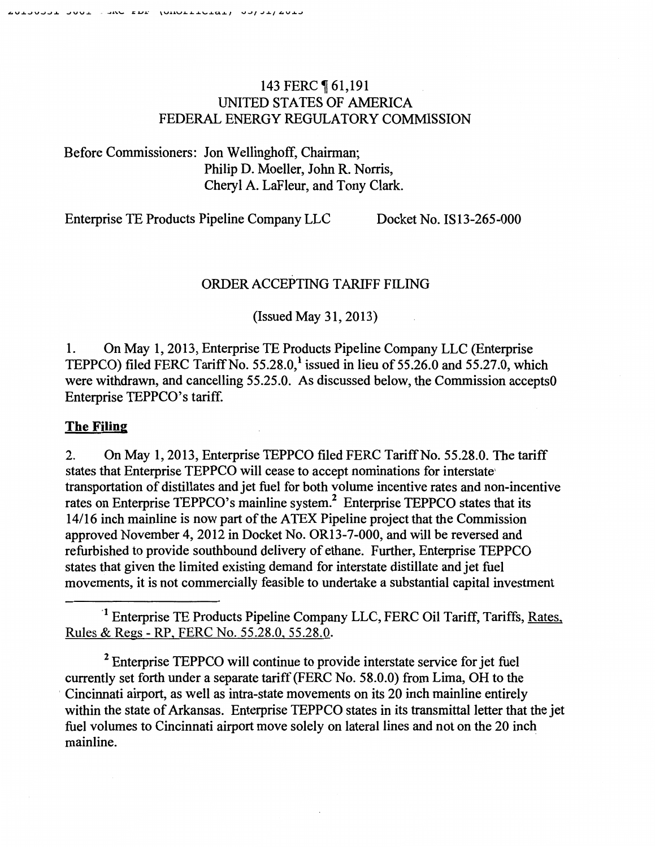## 143 FERC 161,191 UNITED STATES OF AMERICA FEDERAL ENERGY REGULATORY COMMISSION

Before Commissioners: Jon Wellinghoff, Chairman; Philip D. Moeller, John R. Norris, Cheryl A. LaFleur, and Tony Clark.

Enterprise TE Products Pipeline Company LLC Docket No. IS 13-265-000

# ORDER ACCEPTING TARIFF FILING

(Issued May 31, 2013)

1. On May 1, 2013, Enterprise TE Products Pipeline Company LLC (Enterprise TEPPCO) filed FERC Tariff No.  $55.28.0$ ,<sup>1</sup> issued in lieu of  $55.26.0$  and  $55.27.0$ , which were withdrawn, and cancelling 55.25.0. As discussed below, the Commission accepts0 Enterprise TEPPCO's tariff.

## **The Filing**

2. On May 1, 2013, Enterprise TEPPCO filed FERC Tariff No. 55.28.0. The tariff states that Enterprise TEPPCO will cease to accept nominations for interstate' transportation of distillates and jet fuel for both volume incentive rates and non-incentive rates on Enterprise TEPPCO's mainline system.<sup>2</sup> Enterprise TEPPCO states that its 14/16 inch mainline is now part of the ATEX Pipeline project that the Commission approved November 4, 2012 in Docket No. OR13-7-000, and will be reversed and refurbished to provide southbound delivery of ethane. Further, Enterprise TEPPCO states that given the limited existing demand for interstate distillate and jet fuel movements, it is not commercially feasible to undertake a substantial capital investment

<sup>1</sup> Enterprise TE Products Pipeline Company LLC, FERC Oil Tariff, Tariffs, Rates, Rules & Regs- RP, FERC No. 55.28.0, 55.28.0.

*2* Enterprise TEPPCO will continue to provide interstate service for jet fuel currently set forth under a separate tariff (FERC No. 58.0.0) from Lima, OH to the Cincinnati airport, as well as intra-state movements on its 20 inch mainline entirely within the state of Arkansas. Enterprise TEPPCO states in its transmittal letter that the jet fuel volumes to Cincinnati airport move solely on lateral lines and not on the 20 inch mainline.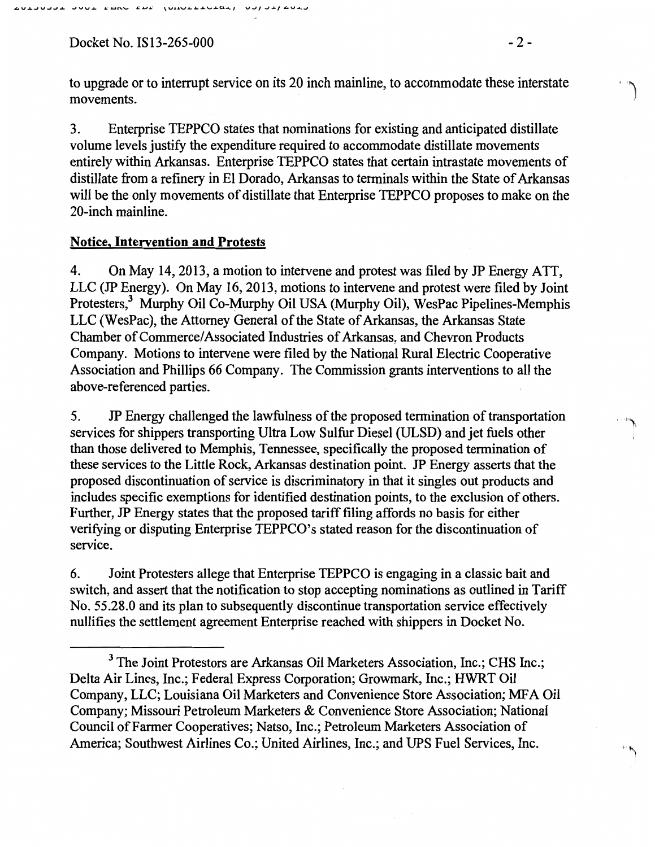$Docket No. IS13-265-000$  - 2 -

to upgrade or to interrupt service on its 20 inch mainline, to accommodate these interstate movements.

3. Enterprise TEPPCO states that nominations for existing and anticipated distillate volume levels justify the expenditure required to accommodate distillate movements entirely within Arkansas. Enterprise TEPPCO states that certain intrastate movements of distillate from a refinery in El Dorado, Arkansas to terminals within the State of Arkansas will be the only movements of distillate that Enterprise TEPPCO proposes to make on the 20-inch mainline.

#### Notice, Intervention and Protests

4. On May 14,2013, a motion to intervene and protest was filed by JP Energy ATT, LLC (JP Energy). On May 16,2013, motions to intervene and protest were filed by Joint Protesters,<sup>3</sup> Murphy Oil Co-Murphy Oil USA (Murphy Oil), WesPac Pipelines-Memphis LLC (WesPac), the Attorney General of the State of Arkansas, the Arkansas State Chamber of Commerce/ Associated Industries of Arkansas, and Chevron Products Company. Motions to intervene were filed by the National Rural Electric Cooperative Association and Phillips 66 Company. The Commission grants interventions to all the above-referenced parties.

5. JP Energy challenged the lawfulness of the proposed termination of transportation services for shippers transporting Ultra Low Sulfur Diesel (ULSD) and jet fuels other than those delivered to Memphis, Tennessee, specifically the proposed termination of these services to the Little Rock, Arkansas destination point. JP Energy asserts that the proposed discontinuation of service is discriminatory in that it singles out products and includes specific exemptions for identified destination points, to the exclusion of others. Further, JP Energy states that the proposed tariff filing affords no basis for either verifying or disputing Enterprise TEPPCO's stated reason for the discontinuation of service.

6. Joint Protesters allege that Enterprise TEPPCO is engaging in a classic bait and switch, and assert that the notification to stop accepting nominations as outlined in Tariff No. 55.28.0 and its plan to subsequently discontinue transportation service effectively nullifies the settlement agreement Enterprise reached with shippers in Docket No.

<sup>&</sup>lt;sup>3</sup> The Joint Protestors are Arkansas Oil Marketers Association, Inc.; CHS Inc.; Delta Air Lines, Inc.; Federal Express Corporation; Growmark, Inc.; HWRT Oil Company, LLC; Louisiana Oil Marketers and Convenience Store Association; MFA Oil Company; Missouri Petroleum Marketers & Convenience Store Association; National Council of Farmer Cooperatives; Natso, Inc.; Petroleum Marketers Association of America; Southwest Airlines Co.; United Airlines, Inc.; and UPS Fuel Services, Inc.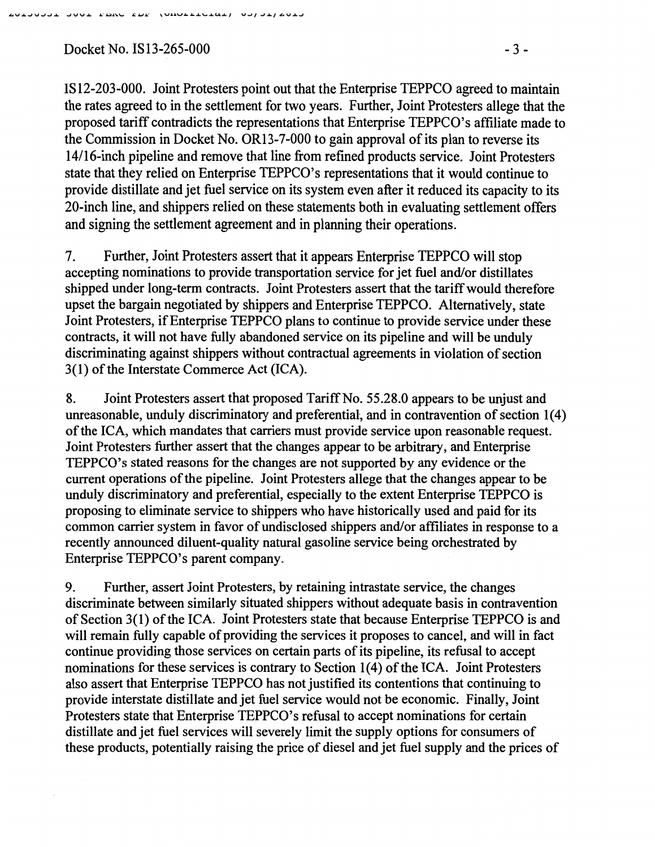$Docket No. IS13-265-000$  -3-

IS 12-203-000. Joint Protesters point out that the Enterprise TEPPCO agreed to maintain the rates agreed to in the settlement for two years. Further, Joint Protesters allege that the proposed tariff contradicts the representations that Enterprise TEPPCO's affiliate made to the Commission in Docket No. OR13-7-000 to gain approval of its plan to reverse its 14116-inch pipeline and remove that line from refined products service. Joint Protesters state that they relied on Enterprise TEPPCO's representations that it would continue to provide distillate and jet fuel service on its system even after it reduced its capacity to its 20-inch line, and shippers relied on these statements both in evaluating settlement offers and signing the settlement agreement and in planning their operations.

7. Further, Joint Protesters assert that it appears Enterprise TEPPCO will stop accepting nominations to provide transportation service for jet fuel and/or distillates shipped under long-term contracts. Joint Protesters assert that the tariff would therefore upset the bargain negotiated by shippers and Enterprise TEPPCO. Alternatively, state Joint Protesters, if Enterprise TEPPCO plans to continue to provide service under these contracts, it will not have fully abandoned service on its pipeline and will be unduly discriminating against shippers without contractual agreements in violation of section 3(1) of the Interstate Commerce Act (ICA).

8. Joint Protesters assert that proposed Tariff No. 55.28.0 appears to be unjust and unreasonable, unduly discriminatory and preferential, and in contravention of section 1(4) of the ICA, which mandates that carriers must provide service upon reasonable request. Joint Protesters further assert that the changes appear to be arbitrary, and Enterprise TEPPCO's stated reasons for the changes are not supported by any evidence or the current operations of the pipeline. Joint Protesters allege that the changes appear to be unduly discriminatory and preferential, especially to the extent Enterprise TEPPCO is proposing to eliminate service to shippers who have historically used and paid for its common carrier system in favor of undisclosed shippers and/or affiliates in response to a recently announced diluent-quality natural gasoline service being orchestrated by Enterprise TEPPCO's parent company.

9. Further, assert Joint Protesters, by retaining intrastate service, the changes discriminate between similarly situated shippers without adequate basis in contravention of Section 3(1) of the ICA. Joint Protesters state that because Enterprise TEPPCO is and will remain fully capable of providing the services it proposes to cancel, and will in fact continue providing those services on certain parts of its pipeline, its refusal to accept nominations for these services is contrary to Section 1(4) of the ICA. Joint Protesters also assert that Enterprise TEPPCO has not justified its contentions that continuing to provide interstate distillate and jet fuel service would not be economic. Finally, Joint Protesters state that Enterprise TEPPCO's refusal to accept nominations for certain distillate and jet fuel services will severely limit the supply options for consumers of these products, potentially raising the price of diesel and jet fuel supply and the prices of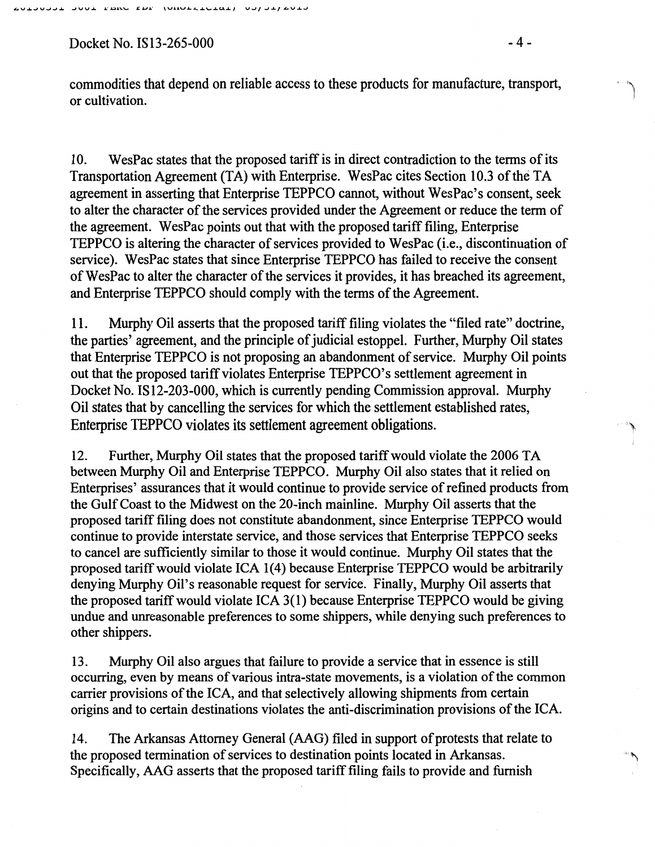Docket No. IS13-265-000 -4 -

**لمن**... ,I

commodities that depend on reliable access to these products for manufacture, transport, or cultivation.

10. WesPac states that the proposed tariff is in direct contradiction to the terms of its Transportation Agreement (TA) with Enterprise. WesPac cites Section 10.3 of the TA agreement in asserting that Enterprise TEPPCO cannot, without WesPac's consent, seek to alter the character of the services provided under the Agreement or reduce the term of the agreement. WesPac points out that with the proposed tariff filing, Enterprise TEPPCO is altering the character of services provided to WesPac (i.e., discontinuation of service). WesPac states that since Enterprise TEPPCO has failed to receive the consent of WesPac to alter the character of the services it provides, it has breached its agreement, and Enterprise TEPPCO should comply with the terms of the Agreement.

11. Murphy Oil asserts that the proposed tariff filing violates the "filed rate" doctrine, the parties' agreement, and the principle of judicial estoppel. Further, Murphy Oil states that Enterprise TEPPCO is not proposing an abandonment of service. Murphy Oil points out that the proposed tariff violates Enterprise TEPPCO's settlement agreement in Docket No. IS12-203-000, which is currently pending Commission approval. Murphy Oil states that by cancelling the services for which the settlement established rates, Enterprise TEPPCO violates its settlement agreement obligations.

12. Further, Murphy Oil states that the proposed tariff would violate the 2006 TA between Murphy Oil and Enterprise TEPPCO. Murphy Oil also states that it relied on Enterprises' assurances that it would continue to provide service of refmed products from the Gulf Coast to the Midwest on the 20-inch mainline. Murphy Oil asserts that the proposed tariff filing does not constitute abandonment, since Enterprise. TEPPCO would continue to provide interstate service, and those services that Enterprise TEPPCO seeks to cancel are sufficiently similar to those it would continue. Murphy Oil states that the proposed tariffwould violate ICA 1(4) because Enterprise TEPPCO would be arbitrarily denying Murphy Oil's reasonable request for service. Finally, Murphy Oil asserts that the proposed tariff would violate ICA 3(1) because Enterprise TEPPCO would be giving undue and unreasonable preferences to some shippers, while denying such preferences to other shippers.

13. Murphy Oil also argues that failure to provide a service that in essence is still occurring, even by means of various intra-state movements, is a violation of the common carrier provisions of the ICA, and that selectively allowing shipments from certain origins and to certain destinations violates the anti-discrimination provisions of the ICA.

14. The Arkansas Attorney General (AAG) filed in support of protests that relate to the proposed termination of services to destination points located in Arkansas. Specifically, AAG asserts that the proposed tariff filing fails to provide and furnish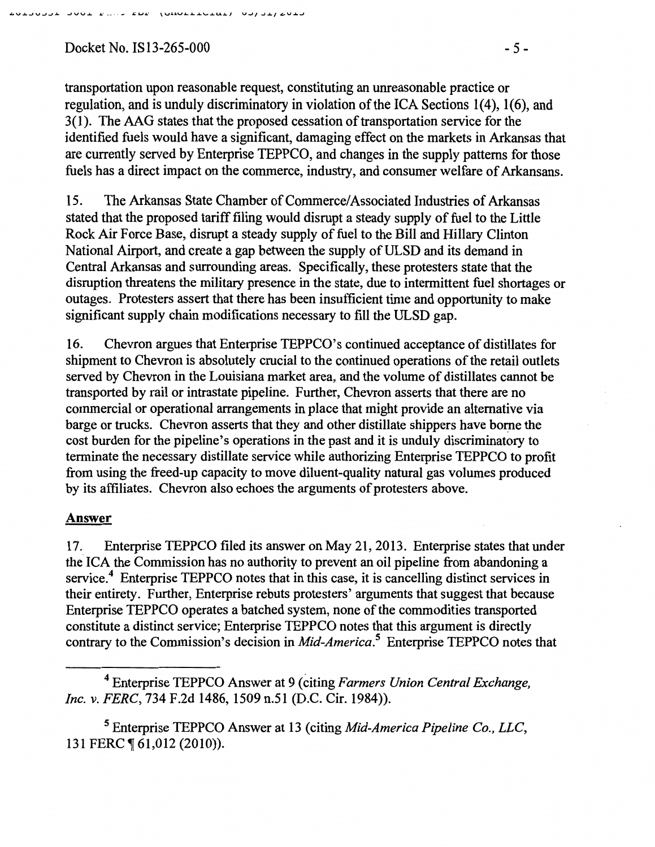Docket No. IS13-265-000 - 5 -

transportation upon reasonable request, constituting an unreasonable practice or regulation, and is unduly discriminatory in violation of the ICA Sections  $1(4)$ ,  $1(6)$ , and 3(1). The AAG states that the proposed cessation of transportation service for the identified fuels would have a significant, damaging effect on the markets in Arkansas that are currently served by Enterprise TEPPCO, and changes in the supply patterns for those fuels has a direct impact on the commerce, industry, and consumer welfare of Arkansans.

15. The Arkansas State Chamber of Commerce/ Associated Industries of Arkansas stated that the proposed tariff filing would disrupt a steady supply of fuel to the Little Rock Air Force Base, disrupt a steady supply of fuel to the Bill and Hillary Clinton National Airport, and create a gap between the supply of ULSD and its demand in Central Arkansas and surrounding areas. Specifically, these protesters state that the disruption threatens the military presence in the state, due to intermittent fuel shortages or outages. Protesters assert that there has been insufficient time and opportunity to make significant supply chain modifications necessary to fill the ULSD gap.

16. Chevron argues that Enterprise TEPPCO's continued acceptance of distillates for shipment to Chevron is absolutely crucial to the continued operations of the retail outlets served by Chevron in the Louisiana market area, and the volume of distillates cannot be transported by rail or intrastate pipeline. Further, Chevron asserts that there are no commercial or operational arrangements in place that might provide an alternative via barge or trucks. Chevron asserts that they and other distillate shippers have borne the cost burden for the pipeline's operations in the past and it is unduly discriminatory to terminate the necessary distillate service while authorizing Enterprise TEPPCO to profit from using the freed-up capacity to move diluent-quality natural gas volumes produced by its affiliates. Chevron also echoes the arguments of protesters above.

### Answer

17. Enterprise TEPPCO filed its answer on May 21, 2013. Enterprise states that under the. ICA the Commission has no authority to prevent an oil pipeline from abandoning a service.<sup>4</sup> Enterprise TEPPCO notes that in this case, it is cancelling distinct services in their entirety. Further, Enterprise rebuts protesters' arguments that suggest that because Enterprise TEPPCO operates a hatched system, none of the commodities transported constitute a distinct service; Enterprise TEPPCO notes that this argument is directly contrary to the Commission's decision in *Mid-America.5* Enterprise TEPPCO notes that

4 Enterprise TEPPCO Answer at 9 (citing *Farmers Union Central Exchange, Inc. v. FERC,* 734 F.2d 1486, 1509 n.51 (D.C. Cir. 1984)).

5 Enterprise TEPPCO Answer at 13 (citing *Mid-America Pipeline Co., LLC,*  131 FERC ¶ 61,012 (2010)).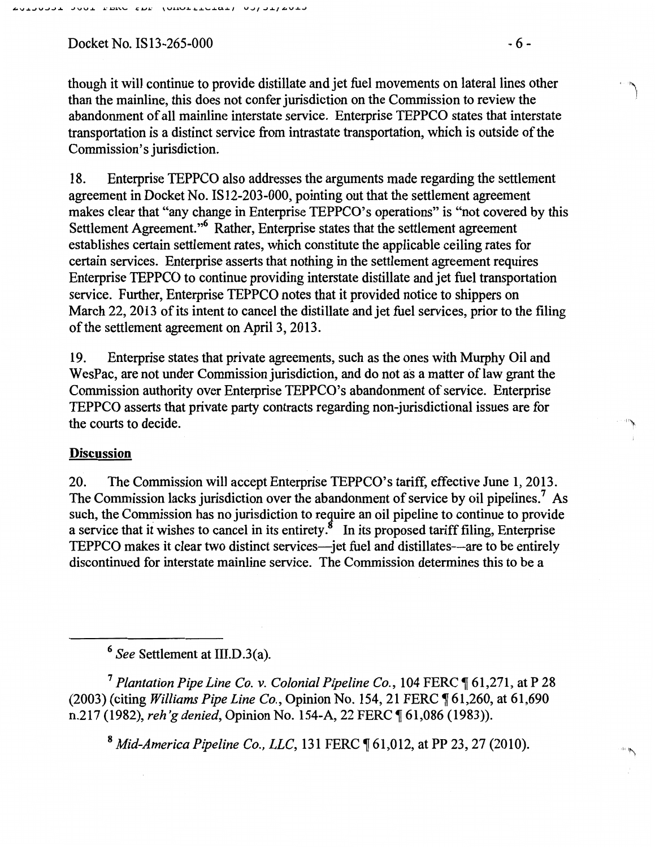$Docket No. IS13-265-000$  -6-

though it will continue to provide distillate and jet fuel movements on lateral lines other than the mainline, this does not confer jurisdiction on the Commission to review the abandonment of all mainline interstate service. Enterprise TEPPCO states that interstate transportation is a distinct service from intrastate transportation, which is outside of the Commission's jurisdiction.

18. Enterprise TEPPCO also addresses the arguments made regarding the settlement agreement in Docket No. IS 12-203-000, pointing out that the settlement agreement makes clear that "any change in Enterprise TEPPCO's operations" is "not covered by this Settlement Agreement."6 Rather, Enterprise states that the settlement agreement establishes certain settlement rates, which constitute the applicable ceiling rates for certain services. Enterprise asserts that nothing in the settlement agreement requires Enterprise TEPPCO to continue providing interstate distillate and jet fuel transportation service. Further, Enterprise TEPPCO notes that it provided notice to shippers on March 22, 2013 of its intent to cancel the distillate and jet fuel services, prior to the filing of the settlement agreement on April3, 2013.

19. Enterprise states that private agreements, such as the ones with Murphy Oil and WesPac, are not under Commission jurisdiction, and do not as a matter of law grant the Commission authority over Enterprise TEPPCO's abandonment of service. Enterprise TEPPCO asserts that private party contracts regarding non-jurisdictional issues are for the courts to decide.

### **Discussion**

20. The Commission will accept Enterprise TEPPCO's tariff, effective June 1, 2013. The Commission lacks jurisdiction over the abandonment of service by oil pipelines.<sup>7</sup> As such, the Commission has no jurisdiction to require an oil pipeline to continue to provide a service that it wishes to cancel in its entirety.<sup>8</sup> In its proposed tariff filing, Enterprise TEPPCO makes it clear two distinct services—jet fuel and distillates—are to be entirely discontinued for interstate mainline service. The Commission determines this to be a

<sup>6</sup>*See* Settlement at III.D.3(a).

<sup>7</sup> Plantation Pipe Line Co. v. Colonial Pipeline Co., 104 FERC ¶ 61,271, at P 28 (2003) (citing *Williams Pipe Line Co.*, Opinion No. 154, 21 FERC  $\P$  61, 260, at 61, 690 n.217 (1982), *reh'g denied*, Opinion No. 154-A, 22 FERC ¶ 61,086 (1983)).

<sup>8</sup> *Mid-America Pipeline Co., LLC*, 131 FERC ¶ 61,012, at PP 23, 27 (2010).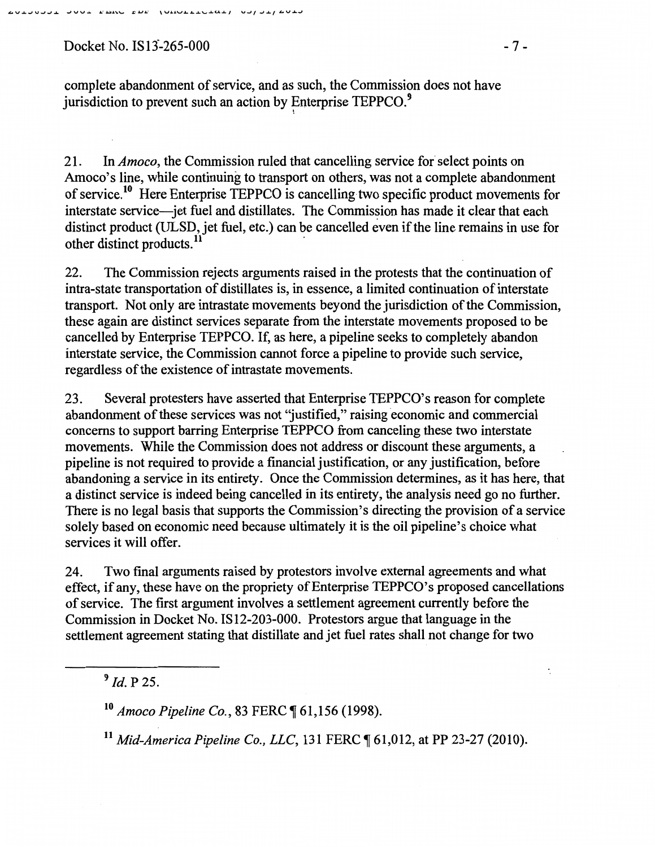Docket No. IS13-265-000 - 7 -

 $\ddot{\cdot}$ 

complete abandonment of service, and as such, the Commission does not have jurisdiction to prevent such an action by Enterprise  $TEPPCO.<sup>9</sup>$ 

21. In *Amoco*, the Commission ruled that cancelling service for select points on Amoco's line, while continuing to transport on others, was not a complete abandonment of service.10 Here Enterprise TEPPCO is cancelling two specific product movements for interstate service—jet fuel and distillates. The Commission has made it clear that each distinct product (ULSD, jet fuel, etc.) can be cancelled even if the line remains in use for other distinct products.<sup>11</sup>

22. The Commission rejects arguments raised in the protests that the continuation of intra-state transportation of distillates is, in essence, a limited continuation of interstate transport. Not only are intrastate movements beyond the jurisdiction of the Commission, these again are distinct services separate from the interstate movements proposed to be cancelled by Enterprise TEPPCO. If, as here, a pipeline seeks to completely abandon interstate service, the Commission cannot force a pipeline to provide such service, regardless of the existence of intrastate movements.

23. Several protesters have asserted that Enterprise TEPPCO's reason for complete abandonment of these services was not 'justified," raising economic and commercial concerns to support barring Enterprise TEPPCO from canceling these two interstate movements. While the Commission does not address or discount these arguments, a pipeline is not required to provide a financial justification, or any justification, before abandoning a service in its entirety. Once the Commission determines, as it has here, that a distinct service is indeed being cancelled in its entirety, the analysis need go no further. There is no legal basis that supports the Commission's directing the provision of a service solely based on economic need because ultimately it is the oil pipeline's choice what services it will offer.

24. Two final arguments raised by protestors involve external agreements and what effect, if any, these have on the propriety of Enterprise TEPPCO's proposed cancellations of service. The first argument involves a settlement agreement currently before the Commission in Docket No. IS12-203-000. Protestors argue that language in the settlement agreement stating that distillate and jet fuel rates shall not change for two

 $9$  *Id.* P 25.

<sup>10</sup> Amoco Pipeline Co., 83 FERC ¶ 61,156 (1998).

<sup>11</sup> Mid-America Pipeline Co., LLC, 131 FERC ¶ 61,012, at PP 23-27 (2010).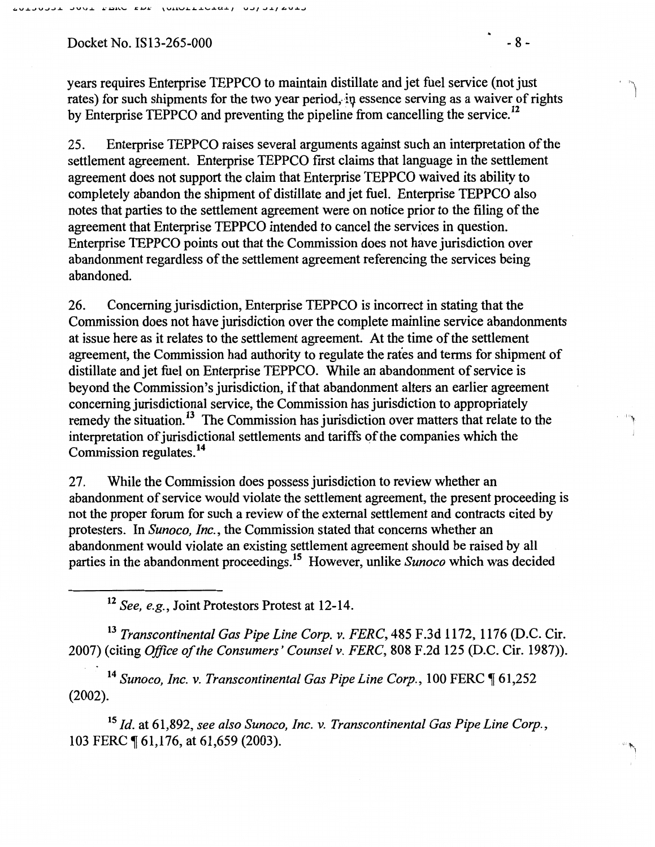$Docket No. IS13-265-000 - 8-$ 

years requires Enterprise TEPPCO to maintain distillate and jet fuel service (not just rates) for such shipments for the two year period, in essence serving as a waiver of rights by Enterprise TEPPCO and preventing the pipeline from cancelling the service.<sup>12</sup>

25. Enterprise TEPPCO raises several arguments against such an interpretation of the settlement agreement. Enterprise TEPPCO first claims that language in the settlement agreement does not support the claim that Enterprise TEPPCO waived its ability to completely abandon the shipment of distillate and jet fuel. Enterprise TEPPCO also notes that parties to the settlement agreement were on notice prior to the filing of the agreement that Enterprise TEPPCO intended to cancel the services in question. Enterprise TEPPCO points out that the Commission does not have jurisdiction over abandonment regardless of the settlement agreement referencing the services being abandoned.

26. Concerning jurisdiction, Enterprise TEPPCO is incorrect in stating that the Commission does not have jurisdiction over the complete mainline service abandonments at issue here as it relates to the settlement agreement. At the time of the settlement agreement, the Commission had authority to regulate the rates and terms for shipment of distillate and jet fuel on Enterprise TEPPCO. While an abandonment of service is beyond the Commission's jurisdiction, if that abandonment alters an earlier agreement concerning jurisdictional service, the Commission has jurisdiction to appropriately remedy the situation.<sup>13</sup> The Commission has jurisdiction over matters that relate to the interpretation of jurisdictional settlements and tariffs of the companies which the Commission regulates. <sup>14</sup>

27. While the Commission does possess jurisdiction to review whether an abandonment of service would violate the settlement agreement, the present proceeding is not the proper forum for such a review of the external settlement and contracts cited by protesters. In *Sunoco, Inc.,* the Commission stated that concerns whether an abandonment would violate an existing settlement agreement should be raised by all parties in the abandonment proceedings.15 However, unlike *Sunoco* which was decided

<sup>12</sup>*See, e.g.,* Joint Protestors Protest at 12-14.

<sup>13</sup>*Transcontinental Gas Pipe Line Corp.* v. *FERC,* 485 P.3d 1172, 1176 (D.C. Cir. 2007) (citing *Office of the Consumers' Counsel* v. *FERC,* 808 P.2d 125 (D.C. Cir. 1987)).

<sup>14</sup> Sunoco, Inc. v. Transcontinental Gas Pipe Line Corp., 100 FERC 161,252 (2002).

<sup>15</sup>*!d.* at 61,892, *see also Sunoco, Inc.* v. *Transcontinental Gas Pipe Line Corp.,*  103 FERC ¶ 61,176, at 61,659 (2003).